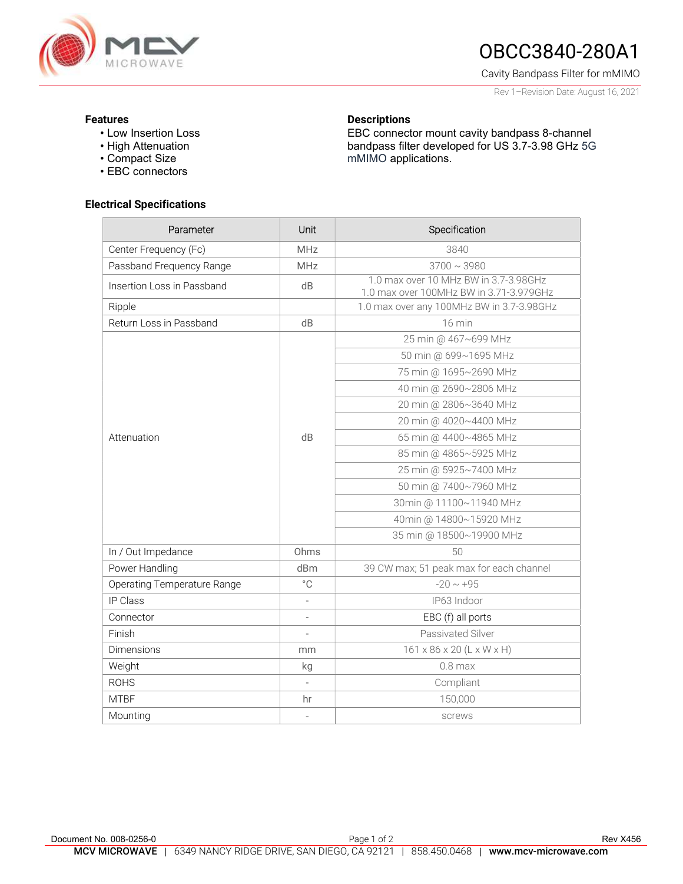

# OBCC3840-280A1

Cavity Bandpass Filter for mMIMO

Rev 1–Revision Date: August 16, 2021

#### Features

- Low Insertion Loss
- High Attenuation
- Compact Size
- EBC connectors

### Electrical Specifications

| Parameter                   | Unit                     | Specification                                                                    |
|-----------------------------|--------------------------|----------------------------------------------------------------------------------|
| Center Frequency (Fc)       | <b>MHz</b>               | 3840                                                                             |
| Passband Frequency Range    | <b>MHz</b>               | $3700 \sim 3980$                                                                 |
| Insertion Loss in Passband  | dB                       | 1.0 max over 10 MHz BW in 3.7-3.98GHz<br>1.0 max over 100MHz BW in 3.71-3.979GHz |
| Ripple                      |                          | 1.0 max over any 100MHz BW in 3.7-3.98GHz                                        |
| Return Loss in Passband     | dB                       | 16 min                                                                           |
| Attenuation                 | dB                       | 25 min @ 467~699 MHz                                                             |
|                             |                          | 50 min @ 699~1695 MHz                                                            |
|                             |                          | 75 min @ 1695~2690 MHz                                                           |
|                             |                          | 40 min @ 2690~2806 MHz                                                           |
|                             |                          | 20 min @ 2806~3640 MHz                                                           |
|                             |                          | 20 min @ 4020~4400 MHz                                                           |
|                             |                          | 65 min @ 4400~4865 MHz                                                           |
|                             |                          | 85 min @ 4865~5925 MHz                                                           |
|                             |                          | 25 min @ 5925~7400 MHz                                                           |
|                             |                          | 50 min @ 7400~7960 MHz                                                           |
|                             |                          | 30min @ 11100~11940 MHz                                                          |
|                             |                          | 40min @ 14800~15920 MHz                                                          |
|                             |                          | 35 min @ 18500~19900 MHz                                                         |
| In / Out Impedance          | Ohms                     | 50                                                                               |
| Power Handling              | dBm                      | 39 CW max; 51 peak max for each channel                                          |
| Operating Temperature Range | $^{\circ}$ C             | $-20 \sim +95$                                                                   |
| IP Class                    | $\overline{\phantom{a}}$ | IP63 Indoor                                                                      |
| Connector                   |                          | EBC (f) all ports                                                                |
| Finish                      | $\overline{\phantom{a}}$ | Passivated Silver                                                                |
| <b>Dimensions</b>           | mm                       | $161 \times 86 \times 20$ (L x W x H)                                            |
| Weight                      | kg                       | $0.8$ max                                                                        |
| <b>ROHS</b>                 |                          | Compliant                                                                        |
| <b>MTBF</b>                 | hr                       | 150,000                                                                          |
| Mounting                    |                          | screws                                                                           |

**Descriptions** 

mMIMO applications.

EBC connector mount cavity bandpass 8-channel bandpass filter developed for US 3.7-3.98 GHz 5G